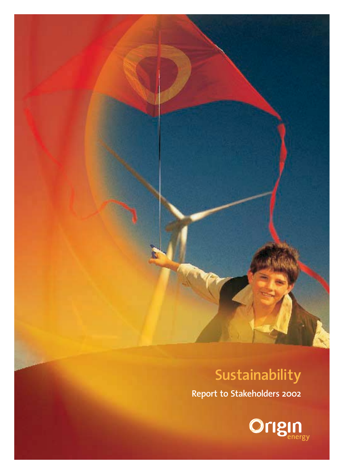

## **Sustainability**

**Report to Stakeholders 2002**

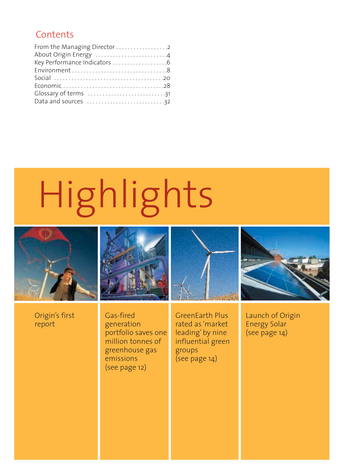### **Contents**

| About Origin Energy 4        |
|------------------------------|
| Key Performance Indicators 6 |
|                              |
|                              |
|                              |
|                              |
| Data and sources 32          |

# Highlights



Origin's first report









Launch of Origin Energy Solar (see page 14)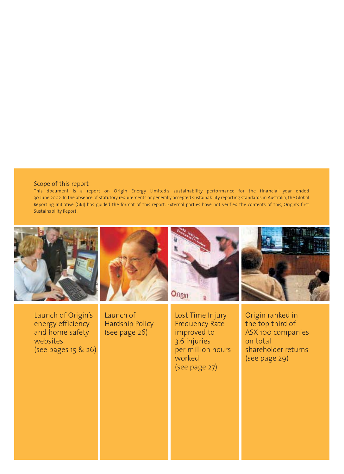### Scope of this report

This document is a report on Origin Energy Limited's sustainability performance for the financial year ended 30 June 2002. In the absence of statutory requirements or generally accepted sustainability reporting standards in Australia, the Global Reporting Initiative (GRI) has guided the format of this report. External parties have not verified the contents of this, Origin's first Sustainability Report.



Launch of Origin's energy efficiency and home safety websites (see pages 15 & 26)



Launch of Hardship Policy (see page 26)



Lost Time Injury Frequency Rate improved to 3.6 injuries per million hours worked (see page 27)



Origin ranked in the top third of ASX 100 companies on total shareholder returns (see page 29)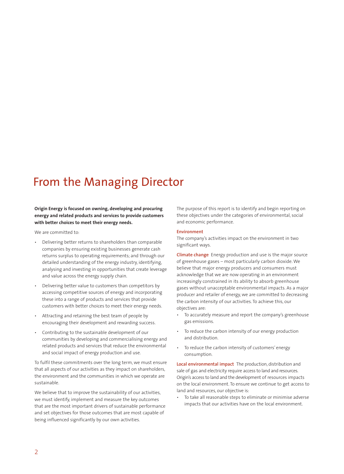## From the Managing Director

**Origin Energy is focused on owning, developing and procuring energy and related products and services to provide customers with better choices to meet their energy needs.**

We are committed to:

- Delivering better returns to shareholders than comparable companies by ensuring existing businesses generate cash returns surplus to operating requirements; and through our detailed understanding of the energy industry, identifying, analysing and investing in opportunities that create leverage and value across the energy supply chain.
- Delivering better value to customers than competitors by accessing competitive sources of energy and incorporating these into a range of products and services that provide customers with better choices to meet their energy needs.
- Attracting and retaining the best team of people by encouraging their development and rewarding success.
- Contributing to the sustainable development of our communities by developing and commercialising energy and related products and services that reduce the environmental and social impact of energy production and use.

To fulfil these commitments over the long term, we must ensure that all aspects of our activities as they impact on shareholders, the environment and the communities in which we operate are sustainable.

We believe that to improve the sustainability of our activities, we must identify, implement and measure the key outcomes that are the most important drivers of sustainable performance and set objectives for those outcomes that are most capable of being influenced significantly by our own activities.

The purpose of this report is to identify and begin reporting on these objectives under the categories of environmental, social and economic performance.

### **Environment**

The company's activities impact on the environment in two significant ways.

**Climate change** Energy production and use is the major source of greenhouse gases – most particularly carbon dioxide. We believe that major energy producers and consumers must acknowledge that we are now operating in an environment increasingly constrained in its ability to absorb greenhouse gases without unacceptable environmental impacts. As a major producer and retailer of energy, we are committed to decreasing the carbon intensity of our activities. To achieve this, our objectives are:

- To accurately measure and report the company's greenhouse gas emissions.
- To reduce the carbon intensity of our energy production and distribution.
- To reduce the carbon intensity of customers' energy consumption.

**Local environmental impact** The production, distribution and sale of gas and electricity require access to land and resources. Origin's access to land and the development of resources impacts on the local environment. To ensure we continue to get access to land and resources, our objective is:

To take all reasonable steps to eliminate or minimise adverse impacts that our activities have on the local environment.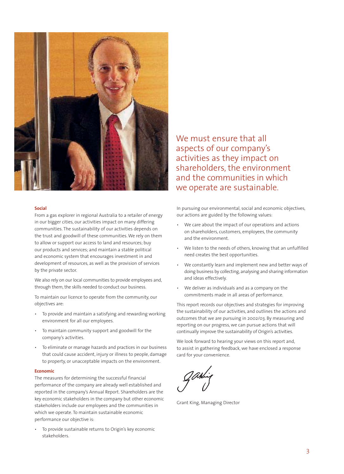

### **Social**

From a gas explorer in regional Australia to a retailer of energy in our bigger cities, our activities impact on many differing communities. The sustainability of our activities depends on the trust and goodwill of these communities. We rely on them to allow or support our access to land and resources; buy our products and services; and maintain a stable political and economic system that encourages investment in and development of resources, as well as the provision of services by the private sector.

We also rely on our local communities to provide employees and, through them, the skills needed to conduct our business.

To maintain our licence to operate from the community, our objectives are:

- To provide and maintain a satisfying and rewarding working environment for all our employees.
- To maintain community support and goodwill for the company's activities.
- To eliminate or manage hazards and practices in our business that could cause accident, injury or illness to people, damage to property, or unacceptable impacts on the environment.

### **Economic**

The measures for determining the successful financial performance of the company are already well established and reported in the company's Annual Report. Shareholders are the key economic stakeholders in the company but other economic stakeholders include our employees and the communities in which we operate. To maintain sustainable economic performance our objective is:

To provide sustainable returns to Origin's key economic stakeholders.

We must ensure that all aspects of our company's activities as they impact on shareholders, the environment and the communities in which we operate are sustainable.

In pursuing our environmental, social and economic objectives, our actions are guided by the following values:

- We care about the impact of our operations and actions on shareholders, customers, employees, the community and the environment.
- We listen to the needs of others, knowing that an unfulfilled need creates the best opportunities.
- We constantly learn and implement new and better ways of doing business by collecting, analysing and sharing information and ideas effectively.
- We deliver as individuals and as a company on the commitments made in all areas of performance.

This report records our objectives and strategies for improving the sustainability of our activities, and outlines the actions and outcomes that we are pursuing in 2002/03. By measuring and reporting on our progress, we can pursue actions that will continually improve the sustainability of Origin's activities.

We look forward to hearing your views on this report and, to assist in gathering feedback, we have enclosed a response card for your convenience.

Grant King, Managing Director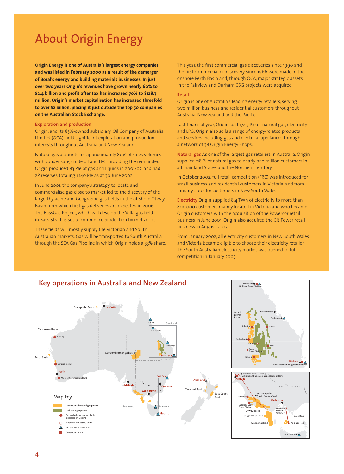### About Origin Energy

**Origin Energy is one of Australia's largest energy companies and was listed in February 2000 as a result of the demerger of Boral's energy and building materials businesses. In just over two years Origin's revenues have grown nearly 60% to \$2.4 billion and profit after tax has increased 70% to \$128.7 million. Origin's market capitalisation has increased threefold to over \$2 billion, placing it just outside the top 50 companies on the Australian Stock Exchange.**

### **Exploration and production**

Origin, and its 85%-owned subsidiary, Oil Company of Australia Limited (OCA), hold significant exploration and production interests throughout Australia and New Zealand.

Natural gas accounts for approximately 80% of sales volumes with condensate, crude oil and LPG, providing the remainder. Origin produced 83 PJe of gas and liquids in 2001/02, and had 2P reserves totaling 1,140 PJe as at 30 June 2002.

In June 2001, the company's strategy to locate and commercialise gas close to market led to the discovery of the large Thylacine and Geographe gas fields in the offshore Otway Basin from which first gas deliveries are expected in 2006. The BassGas Project, which will develop the Yolla gas field in Bass Strait, is set to commence production by mid 2004.

These fields will mostly supply the Victorian and South Australian markets. Gas will be transported to South Australia through the SEA Gas Pipeline in which Origin holds a 33% share.

This year, the first commercial gas discoveries since 1990 and the first commercial oil discovery since 1966 were made in the onshore Perth Basin and, through OCA, major strategic assets in the Fairview and Durham CSG projects were acquired.

### **Retail**

Origin is one of Australia's leading energy retailers, serving two million business and residential customers throughout Australia, New Zealand and the Pacific.

Last financial year, Origin sold 172.5 PJe of natural gas, electricity and LPG. Origin also sells a range of energy-related products and services including gas and electrical appliances through a network of 38 Origin Energy Shops.

**Natural gas** As one of the largest gas retailers in Australia, Origin supplied 118 PJ of natural gas to nearly one million customers in all mainland States and the Northern Territory.

In October 2002, full retail competition (FRC) was introduced for small business and residential customers in Victoria, and from January 2002 for customers in New South Wales.

**Electricity** Origin supplied 8.4 TWh of electricity to more than 800,000 customers mainly located in Victoria and who became Origin customers with the acquisition of the Powercor retail business in June 2001. Origin also acquired the CitiPower retail business in August 2002.

From January 2002, all electricity customers in New South Wales and Victoria became eligible to choose their electricity retailer. The South Australian electricity market was opened to full competition in January 2003.

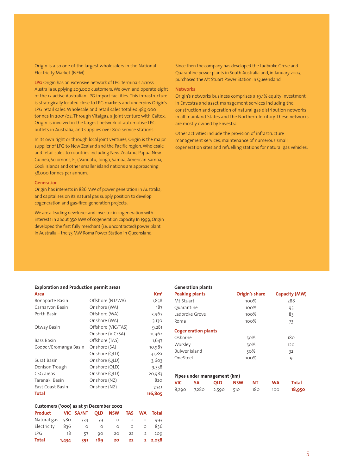Origin is also one of the largest wholesalers in the National Electricity Market (NEM).

**LPG** Origin has an extensive network of LPG terminals across Australia supplying 209,000 customers. We own and operate eight of the 12 active Australian LPG import facilities. This infrastructure is strategically located close to LPG markets and underpins Origin's LPG retail sales. Wholesale and retail sales totalled 489,000 tonnes in 2001/02. Through Vitalgas, a joint venture with Caltex, Origin is involved in the largest network of automotive LPG outlets in Australia, and supplies over 800 service stations.

In its own right or through local joint ventures, Origin is the major supplier of LPG to New Zealand and the Pacific region. Wholesale and retail sales to countries including New Zealand, Papua New Guinea, Solomons, Fiji, Vanuatu, Tonga, Samoa, American Samoa, Cook Islands and other smaller island nations are approaching 58,000 tonnes per annum.

### **Generation**

Origin has interests in 886 MW of power generation in Australia, and capitalises on its natural gas supply position to develop cogeneration and gas-fired generation projects.

We are a leading developer and investor in cogeneration with interests in about 350 MW of cogeneration capacity. In 1999, Origin developed the first fully merchant (i.e. uncontracted) power plant in Australia – the 73 MW Roma Power Station in Queensland.

Since then the company has developed the Ladbroke Grove and Quarantine power plants in South Australia and, in January 2003, purchased the Mt Stuart Power Station in Queensland.

### **Networks**

**Generation plants**

Origin's networks business comprises a 19.1% equity investment in Envestra and asset management services including the construction and operation of natural gas distribution networks in all mainland States and the Northern Territory. These networks are mostly owned by Envestra.

Other activities include the provision of infrastructure management services, maintenance of numerous small cogeneration sites and refuelling stations for natural gas vehicles.

### **Exploration and Production permit areas**

| Area                  |                    | Km <sup>2</sup> |
|-----------------------|--------------------|-----------------|
| Bonaparte Basin       | Offshore (NT/WA)   | 1,858           |
| Carnaryon Basin       | Onshore (WA)       | 187             |
| Perth Basin           | Offshore (WA)      | 3,967           |
|                       | Onshore (WA)       | 3,130           |
| Otway Basin           | Offshore (VIC/TAS) | 9,281           |
|                       | Onshore (VIC/SA)   | 11,962          |
| Bass Basin            | Offshore (TAS)     | 1,647           |
| Cooper/Eromanga Basin | Onshore (SA)       | 10,987          |
|                       | Onshore (QLD)      | 31,281          |
| Surat Basin           | Onshore (OLD)      | 3,603           |
| Denison Trough        | Onshore (OLD)      | 9,358           |
| CSG areas             | Onshore (QLD)      | 20,983          |
| Taranaki Basin        | Onshore (NZ)       | 820             |
| East Coast Basin      | Onshore (NZ)       | 7,741           |
| Total                 |                    | 116,805         |

| Customers ('000) as at 31 December 2002 |       |                          |         |          |                 |             |              |  |
|-----------------------------------------|-------|--------------------------|---------|----------|-----------------|-------------|--------------|--|
| Product                                 |       | VIC SA/NT OLD NSW TAS WA |         |          |                 |             | <b>Total</b> |  |
| Natural gas 580                         |       | 334                      | 79      | $\circ$  | O               | $\circ$     | 993          |  |
| Electricity                             | 836   | $\circ$                  | $\circ$ | $\Omega$ | $\circ$         | $\circ$     | 836          |  |
| <b>LPG</b>                              | 18    | 57                       | 90      | 20       | 22              | $2^{\circ}$ | 209          |  |
| <b>Total</b>                            | 1,434 | 391                      | 169     | 20       | 22 <sub>2</sub> |             | 2 2,038      |  |

| <b>Peaking plants</b>      | Origin's share | <b>Capacity (MW)</b> |
|----------------------------|----------------|----------------------|
| Mt Stuart                  | 100%           | 288                  |
| Ouarantine                 | 100%           | 95                   |
| Ladbroke Grove             | 100%           | 83                   |
| Roma                       | 100%           | 73                   |
| <b>Cogeneration plants</b> |                |                      |
| Osborne                    | 50%            | 180                  |
| Worsley                    | 50%            | 120                  |
| <b>Bulwer Island</b>       | 50%            | 32                   |
| OneSteel                   | 100%           | 9                    |
|                            |                |                      |

| Pipes under management (km) |     |            |            |     |           |              |  |
|-----------------------------|-----|------------|------------|-----|-----------|--------------|--|
| <b>VIC</b>                  | -SA | <b>OLD</b> | <b>NSW</b> | NT  | <b>WA</b> | <b>Total</b> |  |
| 8,290 7,280                 |     | 2,590      | 510        | 180 | 100       | 18,950       |  |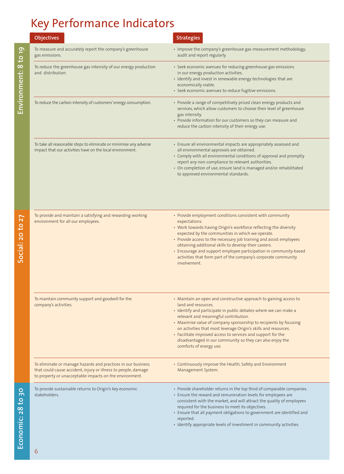## Key Performance Indicators

| <b>Objectives</b>                                                                                                                                                                         | <b>Strategies</b>                                                                                                                                                                                                                                                                                                                                                                                                                                                                                     |
|-------------------------------------------------------------------------------------------------------------------------------------------------------------------------------------------|-------------------------------------------------------------------------------------------------------------------------------------------------------------------------------------------------------------------------------------------------------------------------------------------------------------------------------------------------------------------------------------------------------------------------------------------------------------------------------------------------------|
| To measure and accurately report the company's greenhouse<br>gas emissions.                                                                                                               | • Improve the company's greenhouse gas measurement methodology,<br>audit and report regularly.                                                                                                                                                                                                                                                                                                                                                                                                        |
| To reduce the greenhouse gas intensity of our energy production<br>and distribution.                                                                                                      | • Seek economic avenues for reducing greenhouse gas emissions<br>in our energy production activities.<br>· Identify and invest in renewable energy technologies that are<br>economically viable.<br>• Seek economic avenues to reduce fugitive emissions.                                                                                                                                                                                                                                             |
| To reduce the carbon intensity of customers' energy consumption.                                                                                                                          | • Provide a range of competitively priced clean energy products and<br>services, which allow customers to choose their level of greenhouse<br>gas intensity.<br>• Provide information for our customers so they can measure and<br>reduce the carbon intensity of their energy use.                                                                                                                                                                                                                   |
| To take all reasonable steps to eliminate or minimise any adverse<br>impact that our activities have on the local environment.                                                            | • Ensure all environmental impacts are appropriately assessed and<br>all environmental approvals are obtained.<br>• Comply with all environmental conditions of approval and promptly<br>report any non-compliance to relevant authorities.<br>• On completion of use, ensure land is managed and/or rehabilitated<br>to approved environmental standards.                                                                                                                                            |
| To provide and maintain a satisfying and rewarding working<br>environment for all our employees.                                                                                          | • Provide employment conditions consistent with community<br>expectations.<br>• Work towards having Origin's workforce reflecting the diversity<br>expected by the communities in which we operate.<br>• Provide access to the necessary job training and assist employees<br>obtaining additional skills to develop their careers.<br>• Encourage and support employee participation in community-based<br>activities that form part of the company's corporate community<br>involvement.            |
| To maintain community support and goodwill for the<br>company's activities.                                                                                                               | • Maintain an open and constructive approach to gaining access to<br>land and resources.<br>· Identify and participate in public debates where we can make a<br>relevant and meaningful contribution.<br>• Maximise value of company sponsorship to recipients by focusing<br>on activities that most leverage Origin's skills and resources.<br>• Facilitate improved access to services and support for the<br>disadvantaged in our community so they can also enjoy the<br>comforts of energy use. |
| To eliminate or manage hazards and practices in our business<br>that could cause accident, injury or illness to people, damage<br>to property or unacceptable impacts on the environment. | • Continuously improve the Health, Safety and Environment<br>Management System.                                                                                                                                                                                                                                                                                                                                                                                                                       |
| To provide sustainable returns to Origin's key economic<br>stakeholders.                                                                                                                  | • Provide shareholder returns in the top third of comparable companies.<br>• Ensure the reward and remuneration levels for employees are<br>consistent with the market, and will attract the quality of employees<br>required for the business to meet its objectives.<br>• Ensure that all payment obligations to government are identified and<br>reported.<br>· Identify appropriate levels of investment in community activities.                                                                 |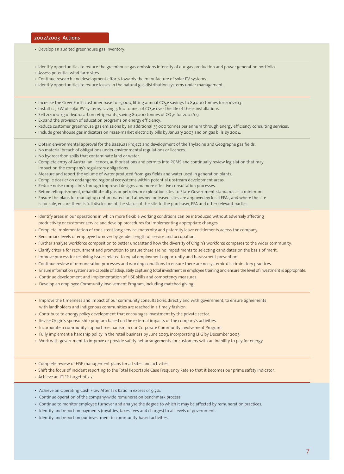• Develop an audited greenhouse gas inventory.

- Identify opportunities to reduce the greenhouse gas emissions intensity of our gas production and power generation portfolio.
- Assess potential wind farm sites.
- Continue research and development efforts towards the manufacture of solar PV systems.
- Identify opportunities to reduce losses in the natural gas distribution systems under management.
- Increase the GreenEarth customer base to 25,000, lifting annual CO<sub>2</sub>e savings to 89,000 tonnes for 2002/03.
- Install 125 kW of solar PV systems, saving 5,610 tonnes of  $CO<sub>2</sub>e$  over the life of these installations.
- Sell 20,000 kg of hydrocarbon refrigerants, saving 80,000 tonnes of CO<sub>2</sub>e for 2002/03.
- Expand the provision of education programs on energy efficiency.
- Reduce customer greenhouse gas emissions by an additional 35,000 tonnes per annum through energy efficiency consulting services.
- Include greenhouse gas indicators on mass-market electricity bills by January 2003 and on gas bills by 2004.
- Obtain environmental approval for the BassGas Project and development of the Thylacine and Geographe gas fields.
- No material breach of obligations under environmental regulations or licences.
- No hydrocarbon spills that contaminate land or water.
- Complete entry of Australian licences, authorisations and permits into RCMS and continually review legislation that may impact on the company's regulatory obligations.
- Measure and report the volume of water produced from gas fields and water used in generation plants.
- Compile dossier on endangered regional ecosystems within potential upstream development areas.
- Reduce noise complaints through improved designs and more effective consultation processes.
- Before relinquishment, rehabilitate all gas or petroleum exploration sites to State Government standards as a minimum.
- Ensure the plans for managing contaminated land at owned or leased sites are approved by local EPAs, and where the site is for sale, ensure there is full disclosure of the status of the site to the purchaser, EPA and other relevant parties.
- Identify areas in our operations in which more flexible working conditions can be introduced without adversely affecting productivity or customer service and develop procedures for implementing appropriate changes.
- Complete implementation of consistent long service, maternity and paternity leave entitlements across the company.
- Benchmark levels of employee turnover by gender, length of service and occupation.
- Further analyse workforce composition to better understand how the diversity of Origin's workforce compares to the wider community.
- Clarify criteria for recruitment and promotion to ensure there are no impediments to selecting candidates on the basis of merit.
- Improve process for resolving issues related to equal employment opportunity and harassment prevention.
- Continue review of remuneration processes and working conditions to ensure there are no systemic discriminatory practices.
- Ensure information systems are capable of adequately capturing total investment in employee training and ensure the level of investment is appropriate.
- Continue development and implementation of HSE skills and competency measures.
- Develop an employee Community Involvement Program, including matched giving.
- Improve the timeliness and impact of our community consultations, directly and with government, to ensure agreements with landholders and indigenous communities are reached in a timely fashion.
- Contribute to energy policy development that encourages investment by the private sector.
- Revise Origin's sponsorship program based on the external impacts of the company's activities.
- Incorporate a community support mechanism in our Corporate Community Involvement Program.
- Fully implement a hardship policy in the retail business by June 2003, incorporating LPG by December 2003.
- Work with government to improve or provide safety net arrangements for customers with an inability to pay for energy.
- Complete review of HSE management plans for all sites and activities.
- Shift the focus of incident reporting to the Total Reportable Case Frequency Rate so that it becomes our prime safety indicator.
- Achieve an LTIFR target of 2.5.
- Achieve an Operating Cash Flow After Tax Ratio in excess of 9.7%.
- Continue operation of the company-wide remuneration benchmark process.
- Continue to monitor employee turnover and analyse the degree to which it may be affected by remuneration practices.
- Identify and report on payments (royalties, taxes, fees and charges) to all levels of government.
- Identify and report on our investment in community-based activities.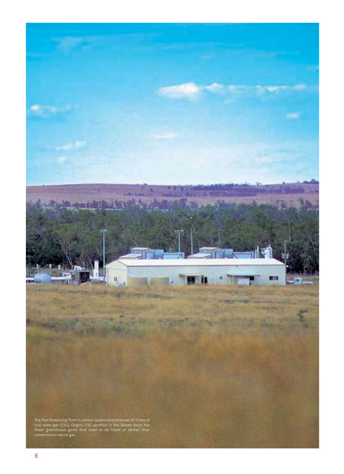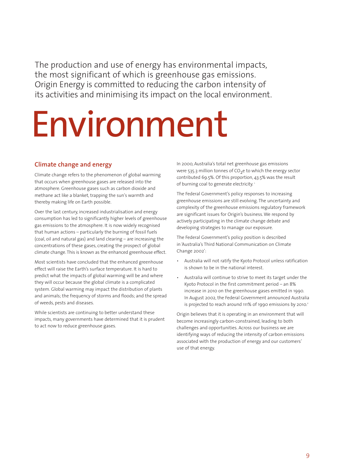The production and use of energy has environmental impacts, the most significant of which is greenhouse gas emissions. Origin Energy is committed to reducing the carbon intensity of its activities and minimising its impact on the local environment.

## Environment

### **Climate change and energy**

Climate change refers to the phenomenon of global warming that occurs when greenhouse gases are released into the atmosphere. Greenhouse gases such as carbon dioxide and methane act like a blanket, trapping the sun's warmth and thereby making life on Earth possible.

Over the last century, increased industrialisation and energy consumption has led to significantly higher levels of greenhouse gas emissions to the atmosphere. It is now widely recognised that human actions – particularly the burning of fossil fuels (coal, oil and natural gas) and land clearing – are increasing the concentrations of these gases, creating the prospect of global climate change. This is known as the enhanced greenhouse effect.

Most scientists have concluded that the enhanced greenhouse effect will raise the Earth's surface temperature. It is hard to predict what the impacts of global warming will be and where they will occur because the global climate is a complicated system. Global warming may impact the distribution of plants and animals; the frequency of storms and floods; and the spread of weeds, pests and diseases.

While scientists are continuing to better understand these impacts, many governments have determined that it is prudent to act now to reduce greenhouse gases.

In 2000, Australia's total net greenhouse gas emissions were 535.3 million tonnes of  $CO<sub>2</sub>e$  to which the energy sector contributed 69.5%. Of this proportion, 43.5% was the result of burning coal to generate electricity.<sup>1</sup>

The Federal Government's policy responses to increasing greenhouse emissions are still evolving. The uncertainty and complexity of the greenhouse emissions regulatory framework are significant issues for Origin's business. We respond by actively participating in the climate change debate and developing strategies to manage our exposure.

The Federal Government's policy position is described in 'Australia's Third National Communication on Climate Change 2002':

- Australia will not ratify the Kyoto Protocol unless ratification is shown to be in the national interest.
- Australia will continue to strive to meet its target under the Kyoto Protocol in the first commitment period – an 8% increase in 2010 on the greenhouse gases emitted in 1990. In August 2002, the Federal Government announced Australia is projected to reach around 111% of 1990 emissions by 2010.<sup>2</sup>

Origin believes that it is operating in an environment that will become increasingly carbon-constrained, leading to both challenges and opportunities. Across our business we are identifying ways of reducing the intensity of carbon emissions associated with the production of energy and our customers' use of that energy.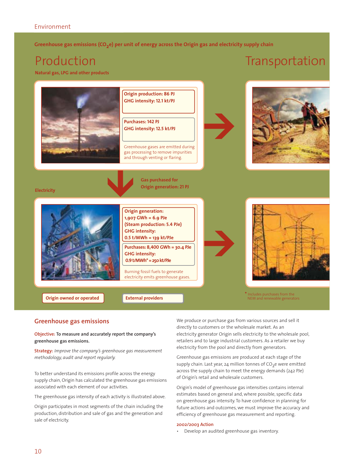Greenhouse gas emissions (CO<sub>2</sub>e) per unit of energy across the Origin gas and electricity supply chain

## Production

**Natural gas, LPG and other products**

### **Transportation**



### **Greenhouse gas emissions**

**Objective: To measure and accurately report the company's greenhouse gas emissions.**

**Strategy:** *Improve the company's greenhouse gas measurement methodology, audit and report regularly.*

To better understand its emissions profile across the energy supply chain, Origin has calculated the greenhouse gas emissions associated with each element of our activities.

The greenhouse gas intensity of each activity is illustrated above.

Origin participates in most segments of the chain including the production, distribution and sale of gas and the generation and sale of electricity.

We produce or purchase gas from various sources and sell it directly to customers or the wholesale market. As an electricity generator Origin sells electricity to the wholesale pool, retailers and to large industrial customers. As a retailer we buy electricity from the pool and directly from generators.

Greenhouse gas emissions are produced at each stage of the supply chain. Last year, 24 million tonnes of  $CO<sub>2</sub>$ e were emitted across the supply chain to meet the energy demands (242 PJe) of Origin's retail and wholesale customers.

Origin's model of greenhouse gas intensities contains internal estimates based on general and, where possible, specific data on greenhouse gas intensity. To have confidence in planning for future actions and outcomes, we must improve the accuracy and efficiency of greenhouse gas measurement and reporting.

### **2002/2003 Action**

• Develop an audited greenhouse gas inventory.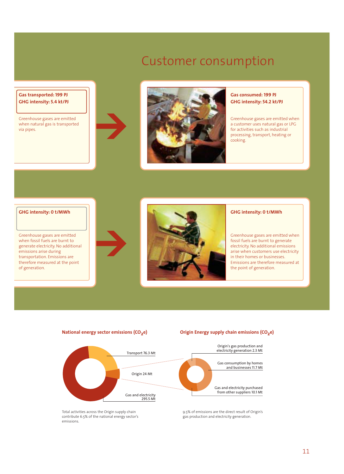## Customer consumption

### **Gas transported: 199 PJ GHG intensity: 5.4 kt/PJ**

Greenhouse gases are emitted when natural gas is transported via pipes.

>

>



### **Gas consumed: 199 PJ GHG intensity: 54.2 kt/PJ**

Greenhouse gases are emitted when a customer uses natural gas or LPG for activities such as industrial processing, transport, heating or cooking.

### **GHG intensity: 0 t/MWh**

Greenhouse gases are emitted when fossil fuels are burnt to generate electricity. No additional emissions arise during transportation. Emissions are therefore measured at the point of generation.



### **GHG intensity: 0 t/MWh**

Greenhouse gases are emitted when fossil fuels are burnt to generate electricity. No additional emissions arise when customers use electricity in their homes or businesses. Emissions are therefore measured at the point of generation.



Total activities across the Origin supply chain contribute 6.5% of the national energy sector's emissions.

9.5% of emissions are the direct result of Origin's gas production and electricity generation.

11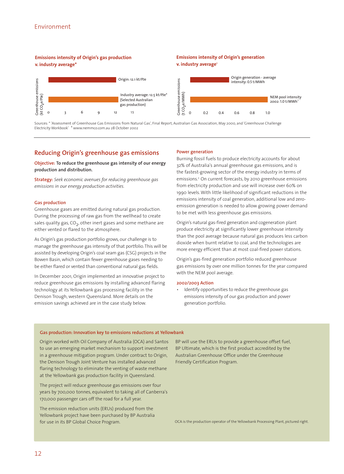

Sources: \* 'Assessment of Greenhouse Gas Emissions from Natural Gas', Final Report, Australian Gas Association, May 2000, and 'Greenhouse Challenge Electricity Workbook' ✝ www.nemmco.com.au 28 October 2002

### **Reducing Origin's greenhouse gas emissions**

**Objective: To reduce the greenhouse gas intensity of our energy production and distribution.**

**Strategy:** *Seek economic avenues for reducing greenhouse gas emissions in our energy production activities.*

### **Gas production**

Greenhouse gases are emitted during natural gas production. During the processing of raw gas from the wellhead to create sales quality gas,  $CO<sub>2</sub>$ , other inert gases and some methane are either vented or flared to the atmosphere.

As Origin's gas production portfolio grows, our challenge is to manage the greenhouse gas intensity of that portfolio. This will be assisted by developing Origin's coal seam gas (CSG) projects in the Bowen Basin, which contain fewer greenhouse gases needing to be either flared or vented than conventional natural gas fields.

In December 2001, Origin implemented an innovative project to reduce greenhouse gas emissions by installing advanced flaring technology at its Yellowbank gas processing facility in the Denison Trough, western Queensland. More details on the emission savings achieved are in the case study below.

### **Power generation**

Burning fossil fuels to produce electricity accounts for about 32% of Australia's annual greenhouse gas emissions, and is the fastest-growing sector of the energy industry in terms of emissions.<sup>3</sup> On current forecasts, by 2010 greenhouse emissions from electricity production and use will increase over 60% on 1990 levels. With little likelihood of significant reductions in the emissions intensity of coal generation, additional low and zeroemission generation is needed to allow growing power demand to be met with less greenhouse gas emissions.

Origin's natural gas-fired generation and cogeneration plant produce electricity at significantly lower greenhouse intensity than the pool average because natural gas produces less carbon dioxide when burnt relative to coal, and the technologies are more energy efficient than at most coal-fired power stations.

Origin's gas-fired generation portfolio reduced greenhouse gas emissions by over one million tonnes for the year compared with the NEM pool average.

### **2002/2003 Action**

• Identify opportunities to reduce the greenhouse gas emissions intensity of our gas production and power generation portfolio.

### **Gas production: Innovation key to emissions reductions at Yellowbank**

Origin worked with Oil Company of Australia (OCA) and Santos to use an emerging market mechanism to support investment in a greenhouse mitigation program. Under contract to Origin, the Denison Trough Joint Venture has installed advanced flaring technology to eliminate the venting of waste methane at the Yellowbank gas production facility in Queensland.

The project will reduce greenhouse gas emissions over four years by 700,000 tonnes, equivalent to taking all of Canberra's 170,000 passenger cars off the road for a full year.

The emission reduction units (ERUs) produced from the Yellowbank project have been purchased by BP Australia for use in its BP Global Choice Program.

BP will use the ERUs to provide a greenhouse offset fuel, BP Ultimate, which is the first product accredited by the Australian Greenhouse Office under the Greenhouse Friendly Certification Program.

OCA is the production operator of the Yellowbank Processing Plant, pictured right.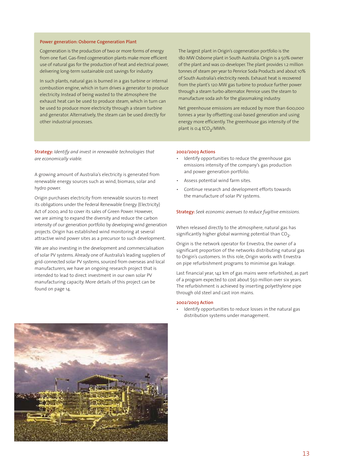### **Power generation: Osborne Cogeneration Plant**

Cogeneration is the production of two or more forms of energy from one fuel. Gas-fired cogeneration plants make more efficient use of natural gas for the production of heat and electrical power, delivering long-term sustainable cost savings for industry.

In such plants, natural gas is burned in a gas turbine or internal combustion engine, which in turn drives a generator to produce electricity. Instead of being wasted to the atmosphere the exhaust heat can be used to produce steam, which in turn can be used to produce more electricity through a steam turbine and generator. Alternatively, the steam can be used directly for other industrial processes.

The largest plant in Origin's cogeneration portfolio is the 180 MW Osborne plant in South Australia. Origin is a 50% owner of the plant and was co-developer. The plant provides 1.2 million tonnes of steam per year to Penrice Soda Products and about 10% of South Australia's electricity needs. Exhaust heat is recovered from the plant's 120 MW gas turbine to produce further power through a steam turbo-alternator. Penrice uses the steam to manufacture soda ash for the glassmaking industry.

Net greenhouse emissions are reduced by more than 600,000 tonnes a year by offsetting coal-based generation and using energy more efficiently. The greenhouse gas intensity of the plant is  $0.4$  tCO<sub>2</sub>/MWh.

**Strategy:** *Identify and invest in renewable technologies that are economically viable.*

A growing amount of Australia's electricity is generated from renewable energy sources such as wind, biomass, solar and hydro power.

Origin purchases electricity from renewable sources to meet its obligations under the Federal Renewable Energy (Electricity) Act of 2000, and to cover its sales of Green Power. However, we are aiming to expand the diversity and reduce the carbon intensity of our generation portfolio by developing wind generation projects. Origin has established wind monitoring at several attractive wind power sites as a precursor to such development.

We are also investing in the development and commercialisation of solar PV systems. Already one of Australia's leading suppliers of grid-connected solar PV systems, sourced from overseas and local manufacturers, we have an ongoing research project that is intended to lead to direct investment in our own solar PV manufacturing capacity. More details of this project can be found on page 14.

### **2002/2003 Actions**

- Identify opportunities to reduce the greenhouse gas emissions intensity of the company's gas production and power generation portfolio.
- Assess potential wind farm sites.
- Continue research and development efforts towards the manufacture of solar PV systems.

**Strategy:** *Seek economic avenues to reduce fugitive emissions.*

When released directly to the atmosphere, natural gas has significantly higher global warming potential than  $CO<sub>2</sub>$ .

Origin is the network operator for Envestra, the owner of a significant proportion of the networks distributing natural gas to Origin's customers. In this role, Origin works with Envestra on pipe refurbishment programs to minimise gas leakage.

Last financial year, 142 km of gas mains were refurbished, as part of a program expected to cost about \$50 million over six years. The refurbishment is achieved by inserting polyethylene pipe through old steel and cast iron mains.

### **2002/2003 Action**

• Identify opportunities to reduce losses in the natural gas distribution systems under management.

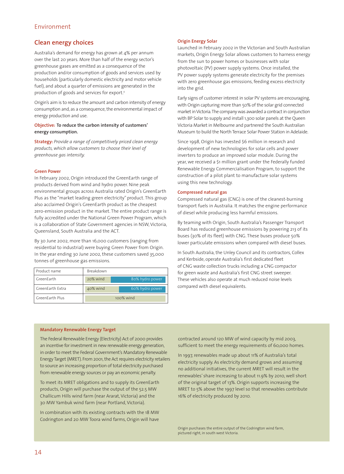### **Clean energy choices**

Australia's demand for energy has grown at 4% per annum over the last 20 years. More than half of the energy sector's greenhouse gases are emitted as a consequence of the production and/or consumption of goods and services used by households (particularly domestic electricity and motor vehicle fuel), and about a quarter of emissions are generated in the production of goods and services for export.4

Origin's aim is to reduce the amount and carbon intensity of energy consumption and, as a consequence, the environmental impact of energy production and use.

### **Objective: To reduce the carbon intensity of customers' energy consumption.**

**Strategy:** *Provide a range of competitively priced clean energy products, which allow customers to choose their level of greenhouse gas intensity.*

### **Green Power**

In February 2002, Origin introduced the GreenEarth range of products derived from wind and hydro power. Nine peak environmental groups across Australia rated Origin's GreenEarth Plus as the "market leading green electricity" product. This group also acclaimed Origin's GreenEarth product as the cheapest zero-emission product in the market. The entire product range is fully accredited under the National Green Power Program, which is a collaboration of State Government agencies in NSW, Victoria, Queensland, South Australia and the ACT.

By 30 June 2002, more than 16,000 customers (ranging from residential to industrial) were buying Green Power from Origin. In the year ending 30 June 2002, these customers saved 35,000 tonnes of greenhouse gas emissions.

| Product name     | Breakdown |                 |
|------------------|-----------|-----------------|
| GreenEarth       | 20% wind  | 80% hydro power |
| GreenEarth Extra | 40% wind  | 60% hydro power |
| GreenEarth Plus  |           | $100\%$ wind    |

### **Origin Energy Solar**

Launched in February 2002 in the Victorian and South Australian markets, Origin Energy Solar allows customers to harness energy from the sun to power homes or businesses with solar photovoltaic (PV) power supply systems. Once installed, the PV power supply systems generate electricity for the premises with zero greenhouse gas emissions, feeding excess electricity into the grid.

Early signs of customer interest in solar PV systems are encouraging, with Origin capturing more than 50% of the solar grid connected market in Victoria.The company was awarded a contract in conjunction with BP Solar to supply and install 1,300 solar panels at the Queen Victoria Market in Melbourne and partnered the South Australian Museum to build the North Terrace Solar Power Station in Adelaide.

Since 1998, Origin has invested \$6 million in research and development of new technologies for solar cells and power inverters to produce an improved solar module. During the year, we received a \$1 million grant under the Federally funded Renewable Energy Commercialisation Program, to support the construction of a pilot plant to manufacture solar systems using this new technology.

### **Compressed natural gas**

Compressed natural gas (CNG) is one of the cleanest-burning transport fuels in Australia. It matches the engine performance of diesel while producing less harmful emissions.

By teaming with Origin, South Australia's Passenger Transport Board has reduced greenhouse emissions by powering 213 of its buses (30% of its fleet) with CNG. These buses produce 50% lower particulate emissions when compared with diesel buses.

In South Australia, the Unley Council and its contractors, Collex and Kerbside, operate Australia's first dedicated fleet of CNG waste collection trucks including a CNG compactor for green waste and Australia's first CNG street sweeper. These vehicles also operate at much reduced noise levels compared with diesel equivalents.

### **Mandatory Renewable Energy Target**

The Federal Renewable Energy (Electricity) Act of 2000 provides an incentive for investment in new renewable energy generation, in order to meet the Federal Government's Mandatory Renewable Energy Target (MRET). From 2001, the Act requires electricity retailers to source an increasing proportion of total electricity purchased from renewable energy sources or pay an economic penalty.

To meet its MRET obligations and to supply its GreenEarth products, Origin will purchase the output of the 52.5 MW Challicum Hills wind farm (near Ararat, Victoria) and the 30 MW Yambuk wind farm (near Portland, Victoria).

In combination with its existing contracts with the 18 MW Codrington and 20 MW Toora wind farms, Origin will have

contracted around 120 MW of wind capacity by mid 2003, sufficient to meet the energy requirements of 60,000 homes.

In 1997, renewables made up about 11% of Australia's total electricity supply. As electricity demand grows and assuming no additional initiatives, the current MRET will result in the renewables' share increasing to about 11.9% by 2010, well short of the original target of 13%. Origin supports increasing the MRET to 5% above the 1997 level so that renewables contribute 16% of electricity produced by 2010.

Origin purchases the entire output of the Codrington wind farm, pictured right, in south west Victoria.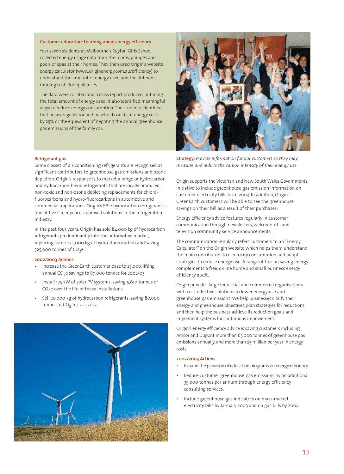### **Customer education: Learning about energy efficiency**

Year seven students at Melbourne's Ruyton Girls School collected energy usage data from the rooms, garages and pools or spas at their homes. They then used Origin's website energy calculator (www.originenergy.com.au/efficiency) to understand the amount of energy used and the different running costs for appliances.

The data were collated and a class report produced, outlining the total amount of energy used. It also identified meaningful ways to reduce energy consumption. The students identified that an average Victorian household could cut energy costs by 25% or the equivalent of negating the annual greenhouse gas emissions of the family car.

### **Refrigerant gas**

Some classes of air-conditioning refrigerants are recognised as significant contributors to greenhouse gas emissions and ozone depletion. Origin's response is to market a range of hydrocarbon and hydrocarbon-blend refrigerants that are locally produced, non-toxic and non-ozone depleting replacements for chlorofluorocarbons and hydro-fluorocarbons in automotive and commercial applications. Origin's ER12 hydrocarbon refrigerant is one of five Greenpeace-approved solutions in the refrigeration industry.

In the past four years, Origin has sold 84,000 kg of hydrocarbon refrigerants predominantly into the automotive market, replacing some 250,000 kg of hydro-fluorocarbon and saving 325,000 tonnes of  $CO<sub>2</sub>e$ .

### **2002/2003 Actions**

- Increase the GreenEarth customer base to 25,000, lifting annual CO<sub>2</sub>e savings to 89,000 tonnes for 2002/03.
- Install 125 kW of solar PV systems, saving 5,610 tonnes of  $CO<sub>2</sub>e$  over the life of these installations.
- Sell 20,000 kg of hydrocarbon refrigerants, saving 80,000 tonnes of  $CO<sub>2</sub>$  for 2002/03.





**Strategy:** *Provide information for our customers so they may measure and reduce the carbon intensity of their energy use.*

Origin supports the Victorian and New South Wales Governments' initiative to include greenhouse gas emission information on customer electricity bills from 2003. In addition, Origin's GreenEarth customers will be able to see the greenhouse savings on their bill as a result of their purchases.

Energy efficiency advice features regularly in customer communication through newsletters, welcome kits and television community service announcements.

The communication regularly refers customers to an "Energy Calculator" on the Origin website which helps them understand the main contributors to electricity consumption and adopt strategies to reduce energy use. A range of tips on saving energy complements a free, online home and small business energy efficiency audit.

Origin provides large industrial and commercial organisations with cost-effective solutions to lower energy use and greenhouse gas emissions. We help businesses clarify their energy and greenhouse objectives, plan strategies for reductions and then help the business achieve its reduction goals and implement systems for continuous improvement.

Origin's energy efficiency advice is saving customers including Amcor and Dupont more than 65,000 tonnes of greenhouse gas emissions annually, and more than \$3 million per year in energy costs.

### **2002/2003 Actions**

- Expand the provision of education programs on energy efficiency.
- Reduce customer greenhouse gas emissions by an additional 35,000 tonnes per annum through energy efficiency consulting services.
- Include greenhouse gas indicators on mass-market electricity bills by January 2003 and on gas bills by 2004.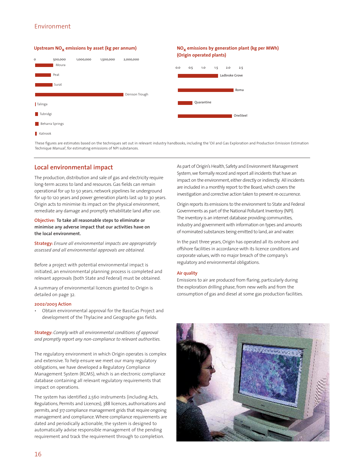### Environment

### **Upstream NOx emissions by asset (kg per annum)**



**Katnook** 

These figures are estimates based on the techniques set out in relevant industry handbooks, including the 'Oil and Gas Exploration and Production Emission Estimation Technique Manual', for estimating emissions of NPI substances.

### **Local environmental impact**

The production, distribution and sale of gas and electricity require long-term access to land and resources. Gas fields can remain operational for up to 50 years; network pipelines lie underground for up to 120 years and power generation plants last up to 30 years. Origin acts to minimise its impact on the physical environment, remediate any damage and promptly rehabilitate land after use.

### **Objective: To take all reasonable steps to eliminate or minimise any adverse impact that our activities have on the local environment.**

**Strategy:** *Ensure all environmental impacts are appropriately assessed and all environmental approvals are obtained.*

Before a project with potential environmental impact is initiated, an environmental planning process is completed and relevant approvals (both State and Federal) must be obtained.

A summary of environmental licences granted to Origin is detailed on page 32.

### **2002/2003 Action**

• Obtain environmental approval for the BassGas Project and development of the Thylacine and Geographe gas fields.

**Strategy:** *Comply with all environmental conditions of approval and promptly report any non-compliance to relevant authorities.*

The regulatory environment in which Origin operates is complex and extensive. To help ensure we meet our many regulatory obligations, we have developed a Regulatory Compliance Management System (RCMS), which is an electronic compliance database containing all relevant regulatory requirements that impact on operations.

The system has identified 2,560 instruments (including Acts, Regulations, Permits and Licences), 388 licences, authorisations and permits, and 317 compliance management grids that require ongoing management and compliance. Where compliance requirements are dated and periodically actionable, the system is designed to automatically advise responsible management of the pending requirement and track the requirement through to completion.

As part of Origin's Health, Safety and Environment Management System, we formally record and report all incidents that have an impact on the environment, either directly or indirectly. All incidents are included in a monthly report to the Board, which covers the investigation and corrective action taken to prevent re-occurrence.

**NOx emissions by generation plant (kg per MWh)**

Origin reports its emissions to the environment to State and Federal Governments as part of the National Pollutant Inventory (NPI). The inventory is an internet database providing communities, industry and government with information on types and amounts of nominated substances being emitted to land, air and water.

In the past three years, Origin has operated all its onshore and offshore facilities in accordance with its licence conditions and corporate values, with no major breach of the company's regulatory and environmental obligations.

### **Air quality**

Emissions to air are produced from flaring, particularly during the exploration drilling phase, from new wells and from the consumption of gas and diesel at some gas production facilities.

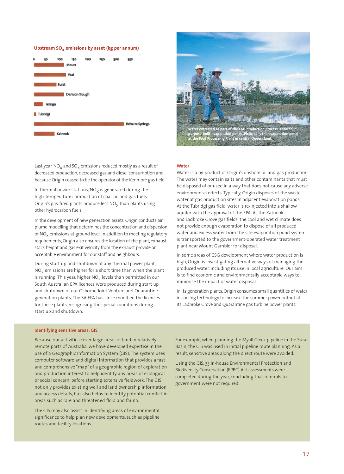### Upstream SO<sub>x</sub> emissions by asset (kg per annum)



Last year,  $NO<sub>x</sub>$  and  $SO<sub>x</sub>$  emissions reduced mostly as a result of decreased production, decreased gas and diesel consumption and because Origin ceased to be the operator of the Kenmore gas field.

In thermal power stations,  $NO<sub>x</sub>$  is generated during the high-temperature combustion of coal, oil and gas fuels. Origin's gas-fired plants produce less  $NO<sub>x</sub>$  than plants using other hydrocarbon fuels.

In the development of new generation assets, Origin conducts air plume modelling that determines the concentration and dispersion of  $NO<sub>x</sub>$  emissions at ground level. In addition to meeting regulatory requirements, Origin also ensures the location of the plant, exhaust stack height and gas exit velocity from the exhaust provide an acceptable environment for our staff and neighbours.

During start up and shutdown of any thermal power plant,  $NO<sub>x</sub>$  emissions are higher for a short time than when the plant is running. This year, higher  $NO<sub>x</sub>$  levels than permitted in our South Australian EPA licences were produced during start up and shutdown of our Osborne Joint Venture and Quarantine generation plants. The SA EPA has since modified the licences for these plants, recognising the special conditions during start up and shutdown.



### **Water**

Water is a by-product of Origin's onshore oil and gas production. The water may contain salts and other contaminants that must be disposed of or used in a way that does not cause any adverse environmental effects. Typically, Origin disposes of the waste water at gas production sites in adjacent evaporation ponds. At the Tubridgi gas field, water is re-injected into a shallow aquifer with the approval of the EPA. At the Katnook and Ladbroke Grove gas fields, the cool and wet climate does not provide enough evaporation to dispose of all produced water and excess water from the site evaporation pond system is transported to the government-operated water treatment plant near Mount Gambier for disposal.

In some areas of CSG development where water production is high, Origin is investigating alternative ways of managing the produced water, including its use in local agriculture. Our aim is to find economic and environmentally acceptable ways to minimise the impact of water disposal.

In its generation plants, Origin consumes small quantities of water in cooling technology to increase the summer power output at its Ladbroke Grove and Quarantine gas turbine power plants.

### **Identifying sensitive areas: GIS**

Because our activities cover large areas of land in relatively remote parts of Australia, we have developed expertise in the use of a Geographic Information System (GIS). The system uses computer software and digital information that provides a fast and comprehensive "map" of a geographic region of exploration and production interest to help identify any areas of ecological or social concern, before starting extensive fieldwork. The GIS not only provides existing well and land ownership information and access details, but also helps to identify potential conflict in areas such as rare and threatened flora and fauna.

The GIS may also assist in identifying areas of environmental significance to help plan new developments, such as pipeline routes and facility locations.

For example, when planning the Myall Creek pipeline in the Surat Basin, the GIS was used in initial pipeline route planning. As a result, sensitive areas along the direct route were avoided.

Using the GIS, 33 in-house Environmental Protection and Biodiversity Conservation (EPBC) Act assessments were completed during the year, concluding that referrals to government were not required.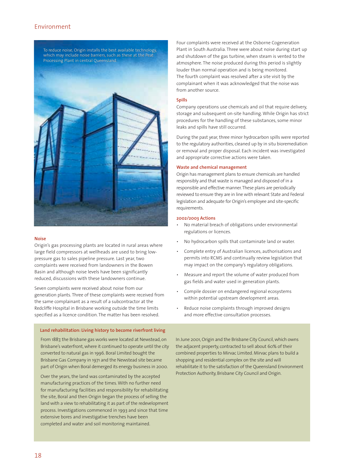### Environment



### **Noise**

Origin's gas processing plants are located in rural areas where large field compressors at wellheads are used to bring lowpressure gas to sales pipeline pressure. Last year, two complaints were received from landowners in the Bowen Basin and although noise levels have been significantly reduced, discussions with these landowners continue.

Seven complaints were received about noise from our generation plants. Three of these complaints were received from the same complainant as a result of a subcontractor at the Redcliffe Hospital in Brisbane working outside the time limits specified as a licence condition. The matter has been resolved.

### **Land rehabilitation: Living history to become riverfront living**

From 1887, the Brisbane gas works were located at Newstead, on Brisbane's waterfront, where it continued to operate until the city converted to natural gas in 1996. Boral Limited bought the Brisbane Gas Company in 1971 and the Newstead site became part of Origin when Boral demerged its energy business in 2000.

Over the years, the land was contaminated by the accepted manufacturing practices of the times. With no further need for manufacturing facilities and responsibility for rehabilitating the site, Boral and then Origin began the process of selling the land with a view to rehabilitating it as part of the redevelopment process. Investigations commenced in 1993 and since that time extensive bores and investigative trenches have been completed and water and soil monitoring maintained.

Four complaints were received at the Osborne Cogeneration Plant in South Australia. Three were about noise during start up and shutdown of the gas turbine, when steam is vented to the atmosphere. The noise produced during this period is slightly louder than normal operation and is being monitored. The fourth complaint was resolved after a site visit by the complainant when it was acknowledged that the noise was from another source.

### **Spills**

Company operations use chemicals and oil that require delivery, storage and subsequent on-site handling. While Origin has strict procedures for the handling of these substances, some minor leaks and spills have still occurred.

During the past year, three minor hydrocarbon spills were reported to the regulatory authorities, cleaned up by in situ bioremediation or removal and proper disposal. Each incident was investigated and appropriate corrective actions were taken.

### **Waste and chemical management**

Origin has management plans to ensure chemicals are handled responsibly and that waste is managed and disposed of in a responsible and effective manner.These plans are periodically reviewed to ensure they are in line with relevant State and Federal legislation and adequate for Origin's employee and site-specific requirements.

### **2002/2003 Actions**

- No material breach of obligations under environmental regulations or licences.
- No hydrocarbon spills that contaminate land or water.
- Complete entry of Australian licences, authorisations and permits into RCMS and continually review legislation that may impact on the company's regulatory obligations.
- Measure and report the volume of water produced from gas fields and water used in generation plants.
- Compile dossier on endangered regional ecosystems within potential upstream development areas.
- Reduce noise complaints through improved designs and more effective consultation processes.

In June 2001, Origin and the Brisbane City Council, which owns the adjacent property, contracted to sell about 60% of their combined properties to Mirvac Limited. Mirvac plans to build a shopping and residential complex on the site and will rehabilitate it to the satisfaction of the Queensland Environment Protection Authority, Brisbane City Council and Origin.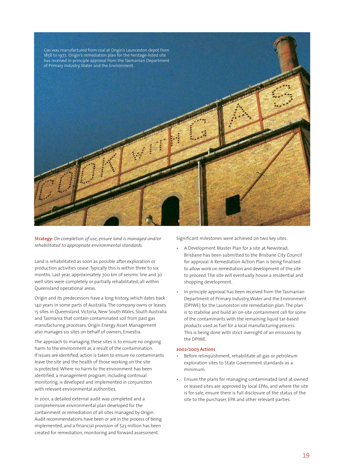

**Strategy:** *On completion of use, ensure land is managed and/or rehabilitated to appropriate environmental standards.*

Land is rehabilitated as soon as possible after exploration or production activities cease. Typically this is within three to six months. Last year, approximately 700 km of seismic line and 30 well sites were completely or partially rehabilitated, all within Queensland operational areas.

Origin and its predecessors have a long history, which dates back 140 years in some parts of Australia. The company owns or leases 15 sites in Queensland, Victoria, New South Wales, South Australia and Tasmania that contain contaminated soil from past gas manufacturing processes. Origin Energy Asset Management also manages six sites on behalf of owners, Envestra.

The approach to managing these sites is to ensure no ongoing harm to the environment as a result of the contamination. If issues are identified, action is taken to ensure no contaminants leave the site and the health of those working on the site is protected. Where no harm to the environment has been identified, a management program, including continual monitoring, is developed and implemented in conjunction with relevant environmental authorities.

In 2001, a detailed external audit was completed and a comprehensive environmental plan developed for the containment or remediation of all sites managed by Origin. Audit recommendations have been or are in the process of being implemented, and a financial provision of \$23 million has been created for remediation, monitoring and forward assessment.

Significant milestones were achieved on two key sites.

- A Development Master Plan for a site at Newstead, Brisbane has been submitted to the Brisbane City Council for approval. A Remediation Action Plan is being finalised to allow work on remediation and development of the site to proceed. The site will eventually house a residential and shopping development.
- In-principle approval has been received from the Tasmanian Department of Primary Industry, Water and the Environment (DPIWE) for the Launceston site remediation plan. The plan is to stabilise and build an on-site containment cell for some of the contaminants with the remaining liquid tar-based products used as fuel for a local manufacturing process. This is being done with strict oversight of air emissions by the DPIWE.

### **2002/2003 Actions**

- Before relinquishment, rehabilitate all gas or petroleum exploration sites to State Government standards as a minimum.
- Ensure the plans for managing contaminated land at owned or leased sites are approved by local EPAs, and where the site is for sale, ensure there is full disclosure of the status of the site to the purchaser, EPA and other relevant parties.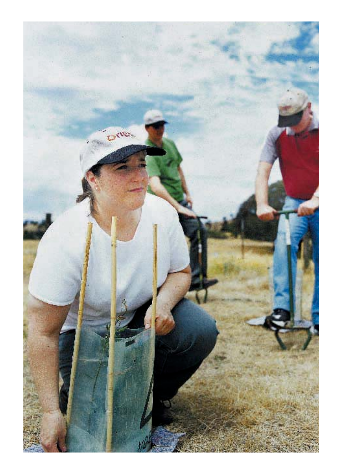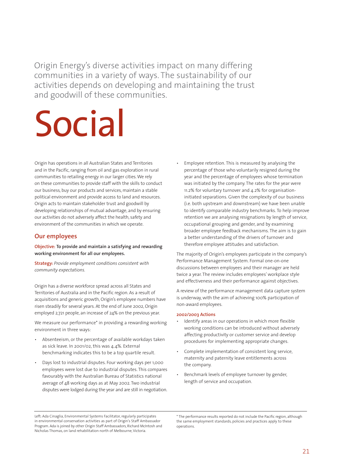Origin Energy's diverse activities impact on many differing communities in a variety of ways. The sustainability of our activities depends on developing and maintaining the trust and goodwill of these communities.

## Social

Origin has operations in all Australian States and Territories and in the Pacific, ranging from oil and gas exploration in rural communities to retailing energy in our larger cities. We rely on these communities to provide staff with the skills to conduct our business, buy our products and services, maintain a stable political environment and provide access to land and resources. Origin acts to maintain stakeholder trust and goodwill by developing relationships of mutual advantage, and by ensuring our activities do not adversely affect the health, safety and environment of the communities in which we operate.

### **Our employees**

**Objective: To provide and maintain a satisfying and rewarding working environment for all our employees.**

**Strategy:** *Provide employment conditions consistent with community expectations.*

Origin has a diverse workforce spread across all States and Territories of Australia and in the Pacific region. As a result of acquisitions and generic growth, Origin's employee numbers have risen steadily for several years. At the end of June 2002, Origin employed 2,721 people, an increase of 24% on the previous year.

We measure our performance<sup>\*</sup> in providing a rewarding working environment in three ways:

- Absenteeism, or the percentage of available workdays taken as sick leave. In 2001/02, this was 4.4%. External benchmarking indicates this to be a top quartile result.
- Days lost to industrial disputes. Four working days per 1,000 employees were lost due to industrial disputes. This compares favourably with the Australian Bureau of Statistics national average of 48 working days as at May 2002. Two industrial disputes were lodged during the year and are still in negotiation.

• Employee retention. This is measured by analysing the percentage of those who voluntarily resigned during the year and the percentage of employees whose termination was initiated by the company. The rates for the year were 11.2% for voluntary turnover and 4.2% for organisationinitiated separations. Given the complexity of our business (i.e. both upstream and downstream) we have been unable to identify comparable industry benchmarks. To help improve retention we are analysing resignations by length of service, occupational grouping and gender, and by examining broader employee feedback mechanisms. The aim is to gain a better understanding of the drivers of turnover and therefore employee attitudes and satisfaction.

The majority of Origin's employees participate in the company's Performance Management System. Formal one-on-one discussions between employees and their manager are held twice a year. The review includes employees' workplace style and effectiveness and their performance against objectives.

A review of the performance management data capture system is underway, with the aim of achieving 100% participation of non-award employees.

### **2002/2003 Actions**

- Identify areas in our operations in which more flexible working conditions can be introduced without adversely affecting productivity or customer service and develop procedures for implementing appropriate changes.
- Complete implementation of consistent long service, maternity and paternity leave entitlements across the company.
- Benchmark levels of employee turnover by gender, length of service and occupation.

Left: Ada Cinaglia, Environmental Systems Facilitator, regularly participates in environmental conservation activities as part of Origin's Staff Ambassador Program. Ada is joined by other Origin Staff Ambassadors, Richard McIntosh and Nicholas Thomas, on land rehabilitation north of Melbourne, Victoria.

\* The performance results reported do not include the Pacific region, although the same employment standards, policies and practices apply to these operations.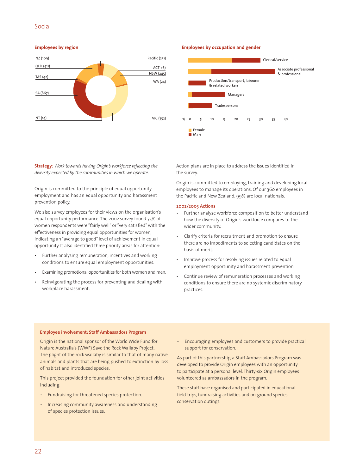### Social

**Employees by region**

### $QLD(411)$  ACT (6) Pacific (251) NSW (245) WA (24) VIC (752) SA (867) TAS (42) NT (14) NZ (109)

### **Employees by occupation and gender**



**Strategy:** *Work towards having Origin's workforce reflecting the diversity expected by the communities in which we operate.*

Origin is committed to the principle of equal opportunity employment and has an equal opportunity and harassment prevention policy.

We also survey employees for their views on the organisation's equal opportunity performance. The 2002 survey found 75% of women respondents were "fairly well" or "very satisfied" with the effectiveness in providing equal opportunities for women, indicating an "average to good" level of achievement in equal opportunity. It also identified three priority areas for attention:

- Further analysing remuneration, incentives and working conditions to ensure equal employment opportunities.
- Examining promotional opportunities for both women and men.
- Reinvigorating the process for preventing and dealing with workplace harassment.

Action plans are in place to address the issues identified in the survey.

Origin is committed to employing, training and developing local employees to manage its operations. Of our 360 employees in the Pacific and New Zealand, 99% are local nationals.

### **2002/2003 Actions**

- Further analyse workforce composition to better understand how the diversity of Origin's workforce compares to the wider community.
- Clarify criteria for recruitment and promotion to ensure there are no impediments to selecting candidates on the basis of merit.
- Improve process for resolving issues related to equal employment opportunity and harassment prevention.
- Continue review of remuneration processes and working conditions to ensure there are no systemic discriminatory practices.

#### **Employee involvement: Staff Ambassadors Program**

Origin is the national sponsor of the World Wide Fund for Nature Australia's (WWF) Save the Rock Wallaby Project. The plight of the rock wallaby is similar to that of many native animals and plants that are being pushed to extinction by loss of habitat and introduced species.

This project provided the foundation for other joint activities including:

- Fundraising for threatened species protection.
- Increasing community awareness and understanding of species protection issues.

• Encouraging employees and customers to provide practical support for conservation.

As part of this partnership, a Staff Ambassadors Program was developed to provide Origin employees with an opportunity to participate at a personal level. Thirty-six Origin employees volunteered as ambassadors in the program.

These staff have organised and participated in educational field trips, fundraising activities and on-ground species conservation outings.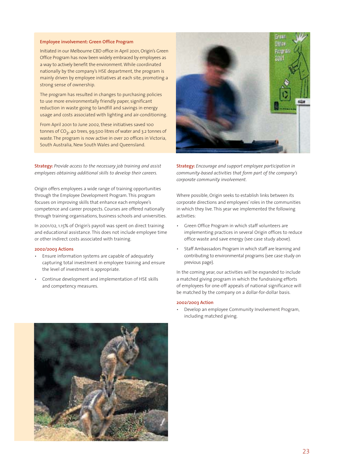### **Employee involvement: Green Office Program**

Initiated in our Melbourne CBD office in April 2001, Origin's Green Office Program has now been widely embraced by employees as a way to actively benefit the environment. While coordinated nationally by the company's HSE department, the program is mainly driven by employee initiatives at each site, promoting a strong sense of ownership.

The program has resulted in changes to purchasing policies to use more environmentally friendly paper, significant reduction in waste going to landfill and savings in energy usage and costs associated with lighting and air-conditioning.

From April 2001 to June 2002, these initiatives saved 100 tonnes of CO<sub>2</sub>, 40 trees, 99,500 litres of water and 3.2 tonnes of waste.The program is now active in over 20 offices in Victoria, South Australia, New South Wales and Queensland.

**Strategy:** *Provide access to the necessary job training and assist employees obtaining additional skills to develop their careers.*

Origin offers employees a wide range of training opportunities through the Employee Development Program. This program focuses on improving skills that enhance each employee's competence and career prospects. Courses are offered nationally through training organisations, business schools and universities.

In 2001/02, 1.15% of Origin's payroll was spent on direct training and educational assistance. This does not include employee time or other indirect costs associated with training.

### **2002/2003 Actions**

- Ensure information systems are capable of adequately capturing total investment in employee training and ensure the level of investment is appropriate.
- Continue development and implementation of HSE skills and competency measures.



**Strategy:** *Encourage and support employee participation in community-based activities that form part of the company's corporate community involvement.*

Where possible, Origin seeks to establish links between its corporate directions and employees' roles in the communities in which they live. This year we implemented the following activities:

- Green Office Program in which staff volunteers are implementing practices in several Origin offices to reduce office waste and save energy (see case study above).
- Staff Ambassadors Program in which staff are learning and contributing to environmental programs (see case study on previous page).

In the coming year, our activities will be expanded to include a matched giving program in which the fundraising efforts of employees for one-off appeals of national significance will be matched by the company on a dollar-for-dollar basis.

### **2002/2003 Action**

• Develop an employee Community Involvement Program, including matched giving.

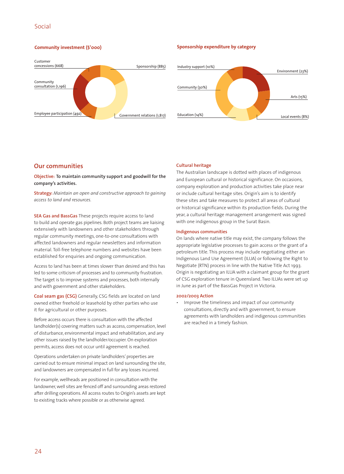### **Community investment (\$'000)**

### **Sponsorship expenditure by category**





### **Our communities**

**Objective: To maintain community support and goodwill for the company's activities.**

**Strategy:** *Maintain an open and constructive approach to gaining access to land and resources.*

**SEA Gas and BassGas** These projects require access to land to build and operate gas pipelines. Both project teams are liaising extensively with landowners and other stakeholders through regular community meetings, one-to-one consultations with affected landowners and regular newsletters and information material. Toll-free telephone numbers and websites have been established for enquiries and ongoing communication.

Access to land has been at times slower than desired and this has led to some criticism of processes and to community frustration. The target is to improve systems and processes, both internally and with government and other stakeholders.

**Coal seam gas (CSG)** Generally, CSG fields are located on land owned either freehold or leasehold by other parties who use it for agricultural or other purposes.

Before access occurs there is consultation with the affected landholder(s) covering matters such as access, compensation, level of disturbance, environmental impact and rehabilitation, and any other issues raised by the landholder/occupier. On exploration permits, access does not occur until agreement is reached.

Operations undertaken on private landholders' properties are carried out to ensure minimal impact on land surrounding the site, and landowners are compensated in full for any losses incurred.

For example, wellheads are positioned in consultation with the landowner, well sites are fenced off and surrounding areas restored after drilling operations. All access routes to Origin's assets are kept to existing tracks where possible or as otherwise agreed.

### **Cultural heritage**

The Australian landscape is dotted with places of indigenous and European cultural or historical significance. On occasions, company exploration and production activities take place near or include cultural heritage sites. Origin's aim is to identify these sites and take measures to protect all areas of cultural or historical significance within its production fields. During the year, a cultural heritage management arrangement was signed with one indigenous group in the Surat Basin.

### **Indigenous communities**

On lands where native title may exist, the company follows the appropriate legislative processes to gain access or the grant of a petroleum title. This process may include negotiating either an Indigenous Land Use Agreement (ILUA) or following the Right to Negotiate (RTN) process in line with the Native Title Act 1993. Origin is negotiating an ILUA with a claimant group for the grant of CSG exploration tenure in Queensland. Two ILUAs were set up in June as part of the BassGas Project in Victoria.

### **2002/2003 Action**

Improve the timeliness and impact of our community consultations, directly and with government, to ensure agreements with landholders and indigenous communities are reached in a timely fashion.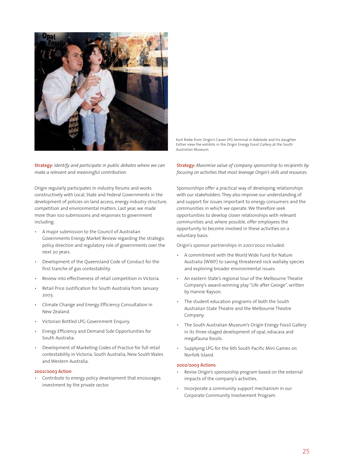

**Strategy:** *Identify and participate in public debates where we can make a relevant and meaningful contribution.*

Origin regularly participates in industry forums and works constructively with Local, State and Federal Governments in the development of policies on land access, energy industry structure, competition and environmental matters. Last year, we made more than 100 submissions and responses to government including:

- A major submission to the Council of Australian Governments Energy Market Review regarding the strategic policy direction and regulatory role of governments over the next 20 years.
- Development of the Queensland Code of Conduct for the first tranche of gas contestability.
- Review into effectiveness of retail competition in Victoria.
- Retail Price Justification for South Australia from January 2003.
- Climate Change and Energy Efficiency Consultation in New Zealand.
- Victorian Bottled LPG Government Enquiry.
- Energy Efficiency and Demand Side Opportunities for South Australia.
- Development of Marketing Codes of Practice for full retail contestability in Victoria, South Australia, New South Wales and Western Australia.

### **2002/2003 Action**

• Contribute to energy policy development that encourages investment by the private sector.

Kurt Riebe from Origin's Cavan LPG terminal in Adelaide and his daughter Esther view the exhibits in the Origin Energy Fossil Gallery at the South Australian Museum.

**Strategy:** *Maximise value of company sponsorship to recipients by focusing on activities that most leverage Origin's skills and resources.*

Sponsorships offer a practical way of developing relationships with our stakeholders. They also improve our understanding of and support for issues important to energy consumers and the communities in which we operate. We therefore seek opportunities to develop closer relationships with relevant communities and, where possible, offer employees the opportunity to become involved in these activities on a voluntary basis.

Origin's sponsor partnerships in 2001/2002 included:

- A commitment with the World Wide Fund for Nature Australia (WWF) to saving threatened rock wallaby species and exploring broader environmental issues.
- An eastern State's regional tour of the Melbourne Theatre Company's award-winning play "Life after George", written by Hannie Rayson.
- The student education programs of both the South Australian State Theatre and the Melbourne Theatre Company.
- The South Australian Museum's Origin Energy Fossil Gallery in its three-staged development of opal, ediacara and megafauna fossils.
- Supplying LPG for the 6th South Pacific Mini Games on Norfolk Island.

### **2002/2003 Actions**

- Revise Origin's sponsorship program based on the external impacts of the company's activities.
- Incorporate a community support mechanism in our Corporate Community Involvement Program.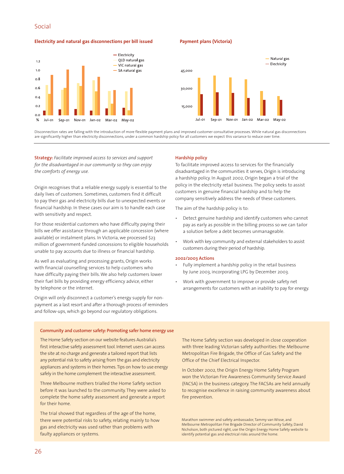### Social

**Electricity and natural gas disconnections per bill issued Payment plans (Victoria)**





Disconnection rates are falling with the introduction of more flexible payment plans and improved customer consultative processes. While natural gas disconnections are significantly higher than electricity disconnections, under a common hardship policy for all customers we expect this variance to reduce over time.

**Strategy:** *Facilitate improved access to services and support for the disadvantaged in our community so they can enjoy the comforts of energy use.*

Origin recognises that a reliable energy supply is essential to the daily lives of customers. Sometimes, customers find it difficult to pay their gas and electricity bills due to unexpected events or financial hardship. In these cases our aim is to handle each case with sensitivity and respect.

For those residential customers who have difficulty paying their bills we offer assistance through an applicable concession (where available) or instalment plans. In Victoria, we processed \$23 million of government-funded concessions to eligible households unable to pay accounts due to illness or financial hardship.

As well as evaluating and processing grants, Origin works with financial counselling services to help customers who have difficulty paying their bills. We also help customers lower their fuel bills by providing energy efficiency advice, either by telephone or the internet.

Origin will only disconnect a customer's energy supply for nonpayment as a last resort and after a thorough process of reminders and follow-ups, which go beyond our regulatory obligations.

### **Hardship policy**

To facilitate improved access to services for the financially disadvantaged in the communities it serves, Origin is introducing a hardship policy. In August 2002, Origin began a trial of the policy in the electricity retail business. The policy seeks to assist customers in genuine financial hardship and to help the company sensitively address the needs of these customers.

The aim of the hardship policy is to:

- Detect genuine hardship and identify customers who cannot pay as early as possible in the billing process so we can tailor a solution before a debt becomes unmanageable.
- Work with key community and external stakeholders to assist customers during their period of hardship.

#### **2002/2003 Actions**

- Fully implement a hardship policy in the retail business by June 2003, incorporating LPG by December 2003.
- Work with government to improve or provide safety net arrangements for customers with an inability to pay for energy.

### **Community and customer safety: Promoting safer home energy use**

The Home Safety section on our website features Australia's first interactive safety assessment tool. Internet users can access the site at no charge and generate a tailored report that lists any potential risk to safety arising from the gas and electricity appliances and systems in their homes.Tips on how to use energy safely in the home complement the interactive assessment.

Three Melbourne mothers trialled the Home Safety section before it was launched to the community. They were asked to complete the home safety assessment and generate a report for their home.

The trial showed that regardless of the age of the home, there were potential risks to safety, relating mainly to how gas and electricity was used rather than problems with faulty appliances or systems.

The Home Safety section was developed in close cooperation with three leading Victorian safety authorities: the Melbourne Metropolitan Fire Brigade, the Office of Gas Safety and the Office of the Chief Electrical Inspector.

In October 2002, the Origin Energy Home Safety Program won the Victorian Fire Awareness Community Service Award (FACSA) in the business category. The FACSAs are held annually to recognise excellence in raising community awareness about fire prevention.

Marathon swimmer and safety ambassador, Tammy van Wisse, and Melbourne Metropolitan Fire Brigade Director of Community Safety, David Nicholson, both pictured right, use the Origin Energy Home Safety website to identify potential gas and electrical risks around the home.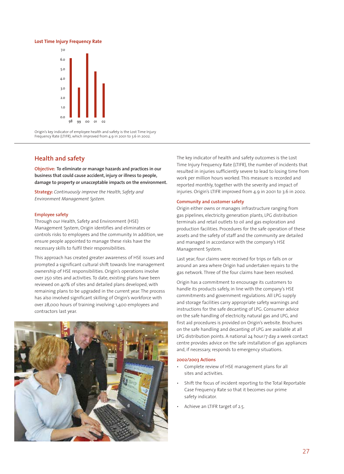### **Lost Time Injury Frequency Rate**



Origin's key indicator of employee health and safety is the Lost Time Injury Frequency Rate (LTIFR), which improved from 4.9 in 2001 to 3.6 in 2002.

### **Health and safety**

**Objective: To eliminate or manage hazards and practices in our business that could cause accident, injury or illness to people, damage to property or unacceptable impacts on the environment.**

**Strategy:** *Continuously improve the Health, Safety and Environment Management System.*

### **Employee safety**

Through our Health, Safety and Environment (HSE) Management System, Origin identifies and eliminates or controls risks to employees and the community. In addition, we ensure people appointed to manage these risks have the necessary skills to fulfil their responsibilities.

This approach has created greater awareness of HSE issues and prompted a significant cultural shift towards line management ownership of HSE responsibilities. Origin's operations involve over 250 sites and activities. To date, existing plans have been reviewed on 40% of sites and detailed plans developed, with remaining plans to be upgraded in the current year. The process has also involved significant skilling of Origin's workforce with over 28,000 hours of training involving 1,400 employees and contractors last year.



The key indicator of health and safety outcomes is the Lost Time Injury Frequency Rate (LTIFR), the number of incidents that resulted in injuries sufficiently severe to lead to losing time from work per million hours worked. This measure is recorded and reported monthly, together with the severity and impact of injuries. Origin's LTIFR improved from 4.9 in 2001 to 3.6 in 2002.

### **Community and customer safety**

Origin either owns or manages infrastructure ranging from gas pipelines, electricity generation plants, LPG distribution terminals and retail outlets to oil and gas exploration and production facilities. Procedures for the safe operation of these assets and the safety of staff and the community are detailed and managed in accordance with the company's HSE Management System.

Last year, four claims were received for trips or falls on or around an area where Origin had undertaken repairs to the gas network. Three of the four claims have been resolved.

Origin has a commitment to encourage its customers to handle its products safely, in line with the company's HSE commitments and government regulations. All LPG supply and storage facilities carry appropriate safety warnings and instructions for the safe decanting of LPG. Consumer advice on the safe handling of electricity, natural gas and LPG, and first aid procedures is provided on Origin's website. Brochures on the safe handling and decanting of LPG are available at all LPG distribution points. A national 24 hour/7 day a week contact centre provides advice on the safe installation of gas appliances and, if necessary, responds to emergency situations.

### **2002/2003 Actions**

- Complete review of HSE management plans for all sites and activities.
- Shift the focus of incident reporting to the Total Reportable Case Frequency Rate so that it becomes our prime safety indicator.
- Achieve an LTIFR target of 2.5.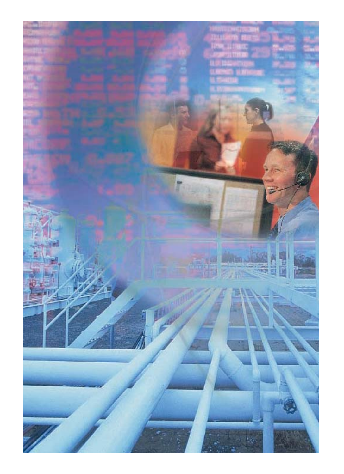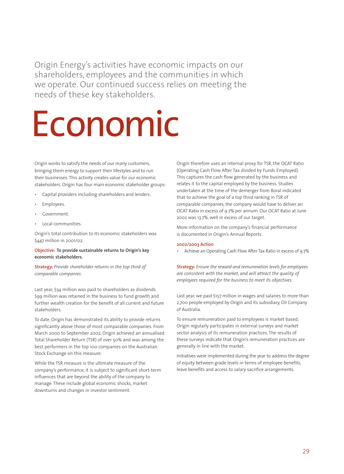Origin Energy's activities have economic impacts on our shareholders, employees and the communities in which we operate. Our continued success relies on meeting the needs of these key stakeholders.

# Economic

Origin works to satisfy the needs of our many customers, bringing them energy to support their lifestyles and to run their businesses. This activity creates value for our economic stakeholders. Origin has four main economic stakeholder groups:

- Capital providers including shareholders and lenders.
- Employees.
- Government.
- Local communities.

Origin's total contribution to its economic stakeholders was \$447 million in 2001/02.

### **Objective: To provide sustainable returns to Origin's key economic stakeholders.**

**Strategy:** *Provide shareholder returns in the top third of comparable companies.*

Last year, \$34 million was paid to shareholders as dividends. \$99 million was retained in the business to fund growth and further wealth creation for the benefit of all current and future stakeholders.

To date, Origin has demonstrated its ability to provide returns significantly above those of most comparable companies. From March 2000 to September 2002, Origin achieved an annualised Total Shareholder Return (TSR) of over 50% and was among the best performers in the top 100 companies on the Australian Stock Exchange on this measure.

While the TSR measure is the ultimate measure of the company's performance, it is subject to significant short-term influences that are beyond the ability of the company to manage. These include global economic shocks, market downturns and changes in investor sentiment.

Origin therefore uses an internal proxy for TSR, the OCAT Ratio (Operating Cash Flow After Tax divided by Funds Employed). This captures the cash flow generated by the business and relates it to the capital employed by the business. Studies undertaken at the time of the demerger from Boral indicated that to achieve the goal of a top third ranking in TSR of comparable companies, the company would have to deliver an OCAT Ratio in excess of 9.7% per annum. Our OCAT Ratio at June 2002 was 13.7%, well in excess of our target.

More information on the company's financial performance is documented in Origin's Annual Reports.

### **2002/2003 Action**

• Achieve an Operating Cash Flow After Tax Ratio in excess of 9.7%

**Strategy:** *Ensure the reward and remuneration levels for employees are consistent with the market, and will attract the quality of employees required for the business to meet its objectives.*

Last year, we paid \$157 million in wages and salaries to more than 2,700 people employed by Origin and its subsidiary, Oil Company of Australia.

To ensure remuneration paid to employees is market based, Origin regularly participates in external surveys and market sector analysis of its remuneration practices. The results of these surveys indicate that Origin's remuneration practices are generally in line with the market.

Initiatives were implemented during the year to address the degree of equity between grade levels in terms of employee benefits, leave benefits and access to salary sacrifice arrangements.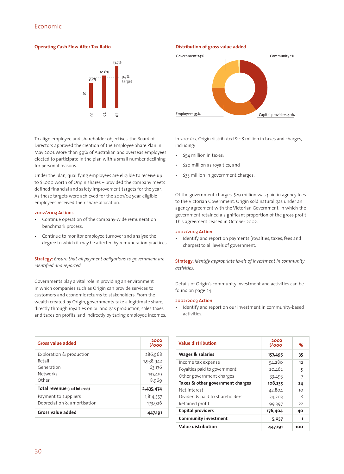### Economic

### **Operating Cash Flow After Tax Ratio**



To align employee and shareholder objectives, the Board of Directors approved the creation of the Employee Share Plan in May 2001. More than 99% of Australian and overseas employees elected to participate in the plan with a small number declining for personal reasons.

Under the plan, qualifying employees are eligible to receive up to \$1,000 worth of Origin shares – provided the company meets defined financial and safety improvement targets for the year. As these targets were achieved for the 2001/02 year, eligible employees received their share allocation.

### **2002/2003 Actions**

- Continue operation of the company-wide remuneration benchmark process.
- Continue to monitor employee turnover and analyse the degree to which it may be affected by remuneration practices.

**Strategy:** *Ensure that all payment obligations to government are identified and reported.*

Governments play a vital role in providing an environment in which companies such as Origin can provide services to customers and economic returns to stakeholders. From the wealth created by Origin, governments take a legitimate share, directly through royalties on oil and gas production, sales taxes and taxes on profits, and indirectly by taxing employee incomes.

| <b>Gross value added</b>                            | 2002<br>\$'000                          | <b>Value distribution</b>                                                                                          |
|-----------------------------------------------------|-----------------------------------------|--------------------------------------------------------------------------------------------------------------------|
| Exploration & production                            | 286,968                                 | Wages & salaries                                                                                                   |
| Retail<br>Generation<br><b>Networks</b><br>Other    | 1,938,942<br>63,176<br>137,419<br>8,969 | Income tax expense<br>Royalties paid to government<br>Other government charges<br>Taxes & other government charges |
| Total revenue (excl interest)                       | 2,435,474                               | Net interest                                                                                                       |
| Payment to suppliers<br>Depreciation & amortisation | 1,814,357<br>173,926                    | Dividends paid to shareholders<br>Retained profit                                                                  |
| <b>Gross value added</b>                            | 447,191                                 | <b>Capital providers</b>                                                                                           |
|                                                     |                                         | Community investment                                                                                               |

### **Distribution of gross value added**



In 2001/02, Origin distributed \$108 million in taxes and charges, including:

- \$54 million in taxes;
- \$20 million as royalties; and
- \$33 million in government charges.

Of the government charges, \$29 million was paid in agency fees to the Victorian Government. Origin sold natural gas under an agency agreement with the Victorian Government, in which the government retained a significant proportion of the gross profit. This agreement ceased in October 2002.

### **2002/2003 Action**

• Identify and report on payments (royalties, taxes, fees and charges) to all levels of government.

**Strategy:** *Identify appropriate levels of investment in community activities.*

Details of Origin's community investment and activities can be found on page 24.

### **2002/2003 Action**

Identify and report on our investment in community-based activities.

| Value distribution               | 2002<br>\$'000 | $\%$ |
|----------------------------------|----------------|------|
| Wages & salaries                 | 157,495        | 35   |
| Income tax expense               | 54,280         | 12   |
| Royalties paid to government     | 20,462         | 5    |
| Other government charges         | 33,493         | 7    |
| Taxes & other government charges | 108,235        | 24   |
| Net interest                     | 42,804         | 10   |
| Dividends paid to shareholders   | 34,203         | 8    |
| Retained profit                  | 99,397         | 22   |
| Capital providers                | 176,404        | 40   |
| <b>Community investment</b>      | 5,057          | 1    |
| Value distribution               | 447,191        | 100  |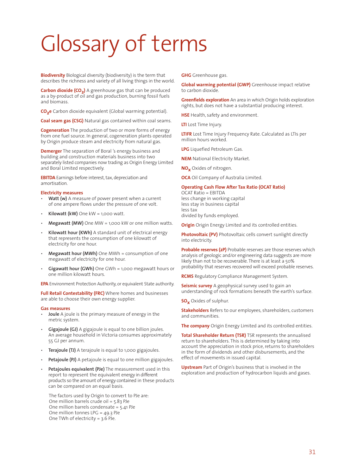## Glossary of terms

**Biodiversity** Biological diversity (biodiversity) is the term that describes the richness and variety of all living things in the world.

**Carbon dioxide (CO<sub>2</sub>)** A greenhouse gas that can be produced as a by-product of oil and gas production, burning fossil fuels and biomass.

CO<sub>2</sub>e Carbon dioxide equivalent (Global warming potential).

**Coal seam gas (CSG)** Natural gas contained within coal seams.

**Cogeneration** The production of two or more forms of energy from one fuel source. In general, cogeneration plants operated by Origin produce steam and electricity from natural gas.

**Demerger** The separation of Boral 's energy business and building and construction materials business into two separately listed companies now trading as Origin Energy Limited and Boral Limited respectively.

**EBITDA** Earnings before interest, tax, depreciation and amortisation.

### **Electricity measures**

- **Watt (w)** A measure of power present when a current of one ampere flows under the pressure of one volt.
- **Kilowatt (kW)** One kW = 1,000 watt.
- **Megawatt (MW)** One MW = 1,000 kW or one million watts.
- **Kilowatt hour (KWh)** A standard unit of electrical energy that represents the consumption of one kilowatt of electricity for one hour.
- **Megawatt hour (MWh)** One MWh = consumption of one megawatt of electricity for one hour.
- **Gigawatt hour (GWh)** One GWh = 1,000 megawatt hours or one million kilowatt hours.

**EPA** Environment Protection Authority, or equivalent State authority.

**Full Retail Contestability (FRC)** Where homes and businesses are able to choose their own energy supplier.

### **Gas measures**

- **Joule** A joule is the primary measure of energy in the metric system.
- **Gigajoule (GJ)** A gigajoule is equal to one billion joules. An average household in Victoria consumes approximately 55 GJ per annum.
- **Terajoule (TJ)** A terajoule is equal to 1,000 gigajoules.
- Petajoule (PJ) A petajoule is equal to one million gigajoules.
- Petajoules equivalent (PJe) The measurement used in this report to represent the equivalent energy in different products so the amount of energy contained in these products can be compared on an equal basis.

The factors used by Origin to convert to PJe are: One million barrels crude oil = 5.83 PJe One million barrels condensate = 5.41 PJe One million tonnes LPG = 49.3 PJe One TWh of electricity = 3.6 PJe.

**GHG** Greenhouse gas.

**Global warming potential (GWP)** Greenhouse impact relative to carbon dioxide.

**Greenfields exploration** An area in which Origin holds exploration rights, but does not have a substantial producing interest.

**HSE** Health, safety and environment.

**LTI** Lost Time Injury.

**LTIFR** Lost Time Injury Frequency Rate. Calculated as LTIs per million hours worked.

**LPG** Liquefied Petroleum Gas.

**NEM** National Electricity Market.

**NOx** Oxides of nitrogen.

**OCA** Oil Company of Australia Limited.

### **Operating Cash Flow After Tax Ratio (OCAT Ratio)**

OCAT Ratio = EBITDA less change in working capital less stay in business capital less tax divided by funds employed.

**Origin** Origin Energy Limited and its controlled entities.

**Photovoltaic (PV)** Photovoltaic cells convert sunlight directly into electricity.

**Probable reserves (2P)** Probable reserves are those reserves which analysis of geologic and/or engineering data suggests are more likely than not to be recoverable. There is at least a 50% probability that reserves recovered will exceed probable reserves.

**RCMS** Regulatory Compliance Management System.

**Seismic survey** A geophysical survey used to gain an understanding of rock formations beneath the earth's surface.

**SOx** Oxides of sulphur.

**Stakeholders** Refers to our employees, shareholders, customers and communities.

**The company** Origin Energy Limited and its controlled entities.

**Total Shareholder Return (TSR)** TSR represents the annualised return to shareholders. This is determined by taking into account the appreciation in stock price, returns to shareholders in the form of dividends and other disbursements, and the effect of movements in issued capital.

**Upstream** Part of Origin's business that is involved in the exploration and production of hydrocarbon liquids and gases.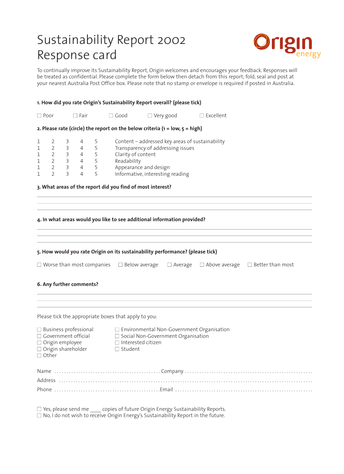## Sustainability Report 2002 Response card



To continually improve its Sustainability Report, Origin welcomes and encourages your feedback. Responses will be treated as confidential. Please complete the form below then detach from this report; fold, seal and post at your nearest Australia Post Office box. Please note that no stamp or envelope is required if posted in Australia.

### **1. How did you rate Origin's Sustainability Report overall? (please tick)**

| $\Box$ Poor                 |                                  |             | $\Box$ Fair                      |             | $\Box$ Good        | Very good                                                                            | $\Box$ Excellent |  |
|-----------------------------|----------------------------------|-------------|----------------------------------|-------------|--------------------|--------------------------------------------------------------------------------------|------------------|--|
|                             |                                  |             |                                  |             |                    | 2. Please rate (circle) the report on the below criteria ( $1 = low, 5 = high$ )     |                  |  |
| $\mathbf 1$<br>$\mathbf{1}$ | $\overline{2}$<br>$\overline{2}$ | 3<br>3<br>3 | 4<br>4<br>$\overline{4}$         | 5<br>5<br>5 | Clarity of content | Content - addressed key areas of sustainability<br>Transparency of addressing issues |                  |  |
| $\mathbf 1$<br>$\mathbf 1$  | $\overline{2}$                   | 3<br>3      | $\overline{4}$<br>$\overline{4}$ | 5<br>5      | Readability        | Appearance and design                                                                |                  |  |
|                             | $\mathcal{P}$                    | 3           | 4                                | 5           |                    | Informative, interesting reading                                                     |                  |  |
|                             |                                  |             |                                  |             |                    | 3. What areas of the report did you find of most interest?                           |                  |  |
|                             |                                  |             |                                  |             |                    |                                                                                      |                  |  |

### **4. In what areas would you like to see additional information provided?**

|                                                                                                                                   | 5. How would you rate Origin on its sustainability performance? (please tick)                                                           |  |                                              |
|-----------------------------------------------------------------------------------------------------------------------------------|-----------------------------------------------------------------------------------------------------------------------------------------|--|----------------------------------------------|
| $\Box$ Worse than most companies $\Box$ Below average $\Box$ Average                                                              |                                                                                                                                         |  | $\Box$ Above average $\Box$ Better than most |
| 6. Any further comments?                                                                                                          |                                                                                                                                         |  |                                              |
| Please tick the appropriate boxes that apply to you:                                                                              |                                                                                                                                         |  |                                              |
| $\Box$ Business professional<br>$\Box$ Government official<br>$\Box$ Origin employee<br>$\Box$ Origin shareholder<br>$\Box$ Other | □ Environmental Non-Government Organisation<br>$\Box$ Social Non-Government Organisation<br>$\Box$ Interested citizen<br>$\Box$ Student |  |                                              |
|                                                                                                                                   |                                                                                                                                         |  |                                              |
|                                                                                                                                   |                                                                                                                                         |  |                                              |

 $\Box$  No, I do not wish to receive Origin Energy's Sustainability Report in the future.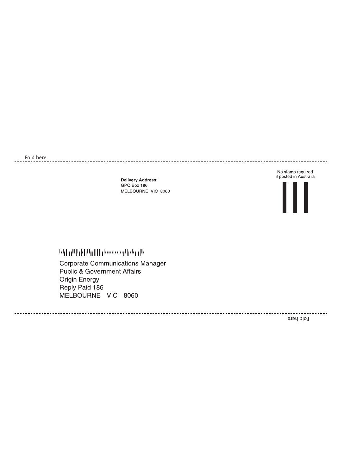Fold here

 $\frac{1}{2} \frac{1}{2} \frac{1}{2} \frac{1}{2} \frac{1}{2} \frac{1}{2} \frac{1}{2} \frac{1}{2} \frac{1}{2} \frac{1}{2} \frac{1}{2} \frac{1}{2} \frac{1}{2} \frac{1}{2} \frac{1}{2} \frac{1}{2} \frac{1}{2} \frac{1}{2} \frac{1}{2} \frac{1}{2} \frac{1}{2} \frac{1}{2} \frac{1}{2} \frac{1}{2} \frac{1}{2} \frac{1}{2} \frac{1}{2} \frac{1}{2} \frac{1}{2} \frac{1}{2} \frac{1}{2} \frac{$ 

**Delivery Address:** GPO Box 186 MELBOURNE VIC 8060

--------------------

No stamp required<br>if posted in Australia

------------------



### <u>եկլունիկնակիկատարկեկին</u>

**Corporate Communications Manager Public & Government Affairs Origin Energy** Reply Paid 186 MELBOURNE VIC 8060

Fold here

--------------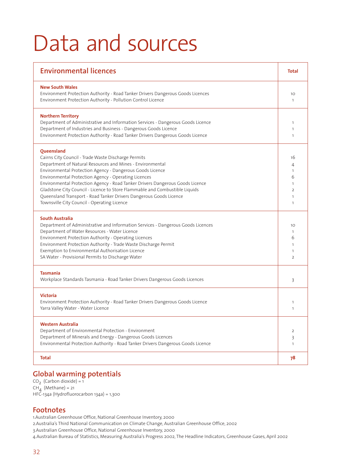## Data and sources

| <b>Environmental licences</b>                                                                                                                                                                                                                                                                                                                                                                                                                                                                                                            | Total                               |
|------------------------------------------------------------------------------------------------------------------------------------------------------------------------------------------------------------------------------------------------------------------------------------------------------------------------------------------------------------------------------------------------------------------------------------------------------------------------------------------------------------------------------------------|-------------------------------------|
| <b>New South Wales</b><br>Environment Protection Authority - Road Tanker Drivers Dangerous Goods Licences<br>Environment Protection Authority - Pollution Control Licence                                                                                                                                                                                                                                                                                                                                                                | 10<br>$\mathbf{1}$                  |
| <b>Northern Territory</b><br>Department of Administrative and Information Services - Dangerous Goods Licence<br>Department of Industries and Business - Dangerous Goods Licence<br>Environment Protection Authority - Road Tanker Drivers Dangerous Goods Licence                                                                                                                                                                                                                                                                        | -1<br>-1<br>$\mathbf{1}$            |
| Queensland<br>Cairns City Council - Trade Waste Discharge Permits<br>Department of Natural Resources and Mines - Environmental<br>Environmental Protection Agency - Dangerous Goods Licence<br>Environmental Protection Agency - Operating Licences<br>Environmental Protection Agency - Road Tanker Drivers Dangerous Goods Licence<br>Gladstone City Council - Licence to Store Flammable and Combustible Liquids<br>Queensland Transport - Road Tanker Drivers Dangerous Goods Licence<br>Townsville City Council - Operating Licence | 16<br>4<br>6<br>2<br>-1<br>1        |
| <b>South Australia</b><br>Department of Administrative and Information Services - Dangerous Goods Licences<br>Department of Water Resources - Water Licence<br>Environment Protection Authority - Operating Licences<br>Environment Protection Authority - Trade Waste Discharge Permit<br>Exemption to Environmental Authorisation Licence<br>SA Water - Provisional Permits to Discharge Water                                                                                                                                         | 10<br>1<br>6<br>1<br>$\overline{2}$ |
| <b>Tasmania</b><br>Workplace Standards Tasmania - Road Tanker Drivers Dangerous Goods Licences                                                                                                                                                                                                                                                                                                                                                                                                                                           | 3                                   |
| <b>Victoria</b><br>Environment Protection Authority - Road Tanker Drivers Dangerous Goods Licence<br>Yarra Valley Water - Water Licence                                                                                                                                                                                                                                                                                                                                                                                                  | $\mathbf{1}$<br>$\mathbf{1}$        |
| <b>Western Australia</b><br>Department of Environmental Protection - Environment<br>Department of Minerals and Energy - Dangerous Goods Licences<br>Environmental Protection Authority - Road Tanker Drivers Dangerous Goods Licence                                                                                                                                                                                                                                                                                                     | 2<br>3<br>$\mathbf{1}$              |
| <b>Total</b>                                                                                                                                                                                                                                                                                                                                                                                                                                                                                                                             | 78                                  |

### **Global warming potentials**

 $CO<sub>2</sub>$  (Carbon dioxide) = 1  $CH<sub>A</sub>$  (Methane) = 21 HFC-134a (Hydrofluorocarbon 134a) = 1,300

### **Footnotes**

1.Australian Greenhouse Office, National Greenhouse Inventory, 2000 2.Australia's Third National Communication on Climate Change, Australian Greenhouse Office, 2002 3.Australian Greenhouse Office, National Greenhouse Inventory, 2000 4.Australian Bureau of Statistics, Measuring Australia's Progress 2002, The Headline Indicators, Greenhouse Gases, April 2002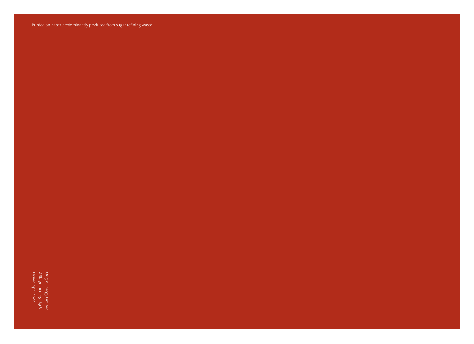Origin Energy Limited<br>ABN 30 000 051 696<br>Issued April 2003 Issued April 2003 ABN 30 000 051 696 Origin Energy Limited

Printed on paper predominantly produced from sugar refining waste.